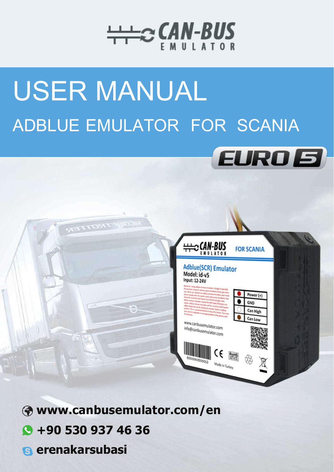

## **USER MANUAL** ADBLUE EMULATOR FOR SCANIA





- Www.canbusemulator.com/en
- $\bigcirc$  +90 530 937 46 36
- **S** erenakarsubasi